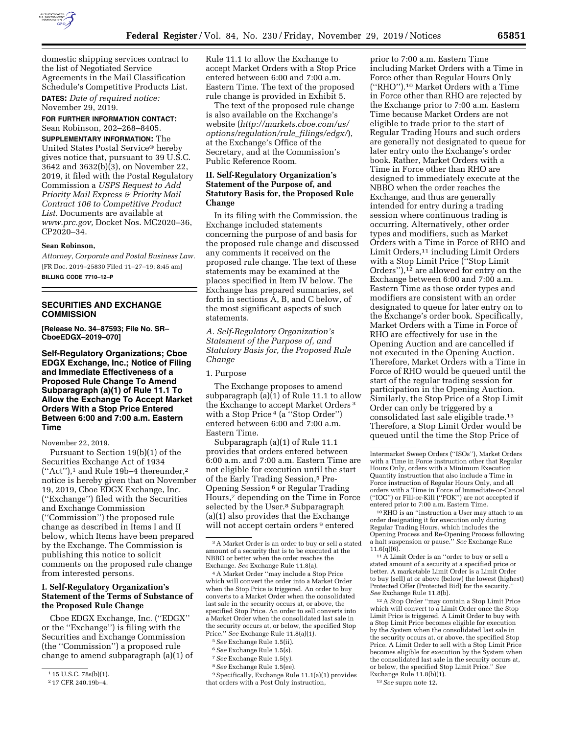

domestic shipping services contract to the list of Negotiated Service Agreements in the Mail Classification Schedule's Competitive Products List.

**DATES:** *Date of required notice:*  November 29, 2019.

**FOR FURTHER INFORMATION CONTACT:**  Sean Robinson, 202–268–8405.

**SUPPLEMENTARY INFORMATION:** The United States Postal Service® hereby gives notice that, pursuant to 39 U.S.C. 3642 and 3632(b)(3), on November 22, 2019, it filed with the Postal Regulatory Commission a *USPS Request to Add Priority Mail Express & Priority Mail Contract 106 to Competitive Product List.* Documents are available at *[www.prc.gov,](http://www.prc.gov)* Docket Nos. MC2020–36, CP2020–34.

### **Sean Robinson,**

*Attorney, Corporate and Postal Business Law.*  [FR Doc. 2019–25830 Filed 11–27–19; 8:45 am] **BILLING CODE 7710–12–P** 

# **SECURITIES AND EXCHANGE COMMISSION**

**[Release No. 34–87593; File No. SR– CboeEDGX–2019–070]** 

**Self-Regulatory Organizations; Cboe EDGX Exchange, Inc.; Notice of Filing and Immediate Effectiveness of a Proposed Rule Change To Amend Subparagraph (a)(1) of Rule 11.1 To Allow the Exchange To Accept Market Orders With a Stop Price Entered Between 6:00 and 7:00 a.m. Eastern Time** 

November 22, 2019.

Pursuant to Section 19(b)(1) of the Securities Exchange Act of 1934  $("Act")$ ,<sup>1</sup> and Rule 19b–4 thereunder,<sup>2</sup> notice is hereby given that on November 19, 2019, Cboe EDGX Exchange, Inc. (''Exchange'') filed with the Securities and Exchange Commission (''Commission'') the proposed rule change as described in Items I and II below, which Items have been prepared by the Exchange. The Commission is publishing this notice to solicit comments on the proposed rule change from interested persons.

## **I. Self-Regulatory Organization's Statement of the Terms of Substance of the Proposed Rule Change**

Cboe EDGX Exchange, Inc. (''EDGX'' or the ''Exchange'') is filing with the Securities and Exchange Commission (the ''Commission'') a proposed rule change to amend subparagraph (a)(1) of Rule 11.1 to allow the Exchange to accept Market Orders with a Stop Price entered between 6:00 and 7:00 a.m. Eastern Time. The text of the proposed rule change is provided in Exhibit 5.

The text of the proposed rule change is also available on the Exchange's website (*[http://markets.cboe.com/us/](http://markets.cboe.com/us/options/regulation/rule_filings/edgx/) [options/regulation/rule](http://markets.cboe.com/us/options/regulation/rule_filings/edgx/)*\_*filings/edgx/*), at the Exchange's Office of the Secretary, and at the Commission's Public Reference Room.

# **II. Self-Regulatory Organization's Statement of the Purpose of, and Statutory Basis for, the Proposed Rule Change**

In its filing with the Commission, the Exchange included statements concerning the purpose of and basis for the proposed rule change and discussed any comments it received on the proposed rule change. The text of these statements may be examined at the places specified in Item IV below. The Exchange has prepared summaries, set forth in sections A, B, and C below, of the most significant aspects of such statements.

*A. Self-Regulatory Organization's Statement of the Purpose of, and Statutory Basis for, the Proposed Rule Change* 

1. Purpose

The Exchange proposes to amend subparagraph (a)(1) of Rule 11.1 to allow the Exchange to accept Market Orders 3 with a Stop Price 4 (a ''Stop Order'') entered between 6:00 and 7:00 a.m. Eastern Time.

Subparagraph (a)(1) of Rule 11.1 provides that orders entered between 6:00 a.m. and 7:00 a.m. Eastern Time are not eligible for execution until the start of the Early Trading Session,5 Pre-Opening Session 6 or Regular Trading Hours,7 depending on the Time in Force selected by the User.<sup>8</sup> Subparagraph (a)(1) also provides that the Exchange will not accept certain orders<sup>9</sup> entered

4A Market Order ''may include a Stop Price which will convert the order into a Market Order when the Stop Price is triggered. An order to buy converts to a Market Order when the consolidated last sale in the security occurs at, or above, the specified Stop Price. An order to sell converts into a Market Order when the consolidated last sale in the security occurs at, or below, the specified Stop Price.'' *See* Exchange Rule 11.8(a)(1).

- 6*See* Exchange Rule 1.5(s).
- 7*See* Exchange Rule 1.5(y).
- 8*See* Exchange Rule 1.5(ee).

9Specifically, Exchange Rule 11.1(a)(1) provides that orders with a Post Only instruction,

prior to 7:00 a.m. Eastern Time including Market Orders with a Time in Force other than Regular Hours Only (''RHO'').10 Market Orders with a Time in Force other than RHO are rejected by the Exchange prior to 7:00 a.m. Eastern Time because Market Orders are not eligible to trade prior to the start of Regular Trading Hours and such orders are generally not designated to queue for later entry onto the Exchange's order book. Rather, Market Orders with a Time in Force other than RHO are designed to immediately execute at the NBBO when the order reaches the Exchange, and thus are generally intended for entry during a trading session where continuous trading is occurring. Alternatively, other order types and modifiers, such as Market Orders with a Time in Force of RHO and Limit Orders,<sup>11</sup> including Limit Orders with a Stop Limit Price ("Stop Limit Orders''),12 are allowed for entry on the Exchange between 6:00 and 7:00 a.m. Eastern Time as those order types and modifiers are consistent with an order designated to queue for later entry on to the Exchange's order book. Specifically, Market Orders with a Time in Force of RHO are effectively for use in the Opening Auction and are cancelled if not executed in the Opening Auction. Therefore, Market Orders with a Time in Force of RHO would be queued until the start of the regular trading session for participation in the Opening Auction. Similarly, the Stop Price of a Stop Limit Order can only be triggered by a consolidated last sale eligible trade.13 Therefore, a Stop Limit Order would be queued until the time the Stop Price of

12A Stop Order ''may contain a Stop Limit Price which will convert to a Limit Order once the Stop Limit Price is triggered. A Limit Order to buy with a Stop Limit Price becomes eligible for execution by the System when the consolidated last sale in the security occurs at, or above, the specified Stop Price. A Limit Order to sell with a Stop Limit Price becomes eligible for execution by the System when the consolidated last sale in the security occurs at, or below, the specified Stop Limit Price.'' *See*  Exchange Rule 11.8(b)(1).

<sup>1</sup> 15 U.S.C. 78s(b)(1).

<sup>2</sup> 17 CFR 240.19b–4.

<sup>3</sup>A Market Order is an order to buy or sell a stated amount of a security that is to be executed at the NBBO or better when the order reaches the Exchange. *See* Exchange Rule 11.8(a).

<sup>5</sup>*See* Exchange Rule 1.5(ii).

Intermarket Sweep Orders (''ISOs''), Market Orders with a Time in Force instruction other that Regular Hours Only, orders with a Minimum Execution Quantity instruction that also include a Time in Force instruction of Regular Hours Only, and all orders with a Time in Force of Immediate-or-Cancel (''IOC'') or Fill-or-Kill (''FOK'') are not accepted if

 $10$  RHO is an "instruction a User may attach to an order designating it for execution only during Regular Trading Hours, which includes the Opening Process and Re-Opening Process following a halt suspension or pause.'' *See* Exchange Rule 11.6(q)(6).<br> $11 \text{ A Limit Order is an "order to buy or sell a}$ 

stated amount of a security at a specified price or better. A marketable Limit Order is a Limit Order to buy (sell) at or above (below) the lowest (highest) Protected Offer (Protected Bid) for the security *See* Exchange Rule 11.8(b).

<sup>13</sup>*See* supra note 12.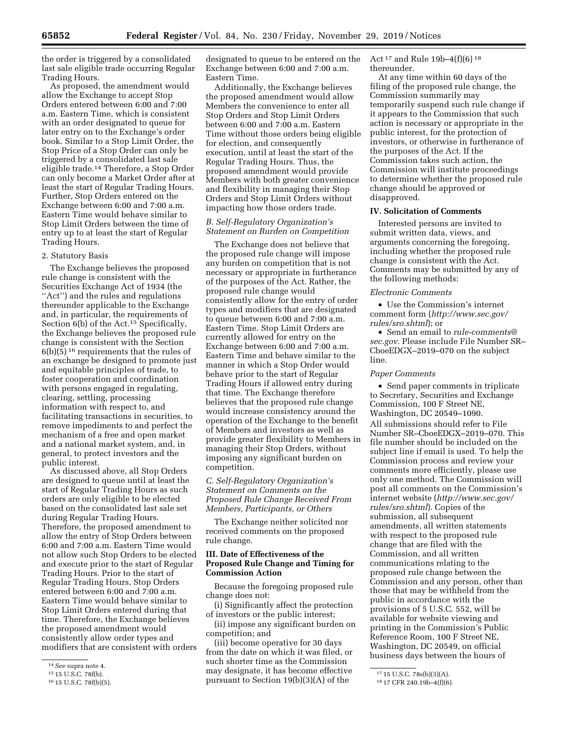the order is triggered by a consolidated last sale eligible trade occurring Regular Trading Hours.

As proposed, the amendment would allow the Exchange to accept Stop Orders entered between 6:00 and 7:00 a.m. Eastern Time, which is consistent with an order designated to queue for later entry on to the Exchange's order book. Similar to a Stop Limit Order, the Stop Price of a Stop Order can only be triggered by a consolidated last sale eligible trade.14 Therefore, a Stop Order can only become a Market Order after at least the start of Regular Trading Hours. Further, Stop Orders entered on the Exchange between 6:00 and 7:00 a.m. Eastern Time would behave similar to Stop Limit Orders between the time of entry up to at least the start of Regular Trading Hours.

### 2. Statutory Basis

The Exchange believes the proposed rule change is consistent with the Securities Exchange Act of 1934 (the "Act") and the rules and regulations thereunder applicable to the Exchange and, in particular, the requirements of Section 6(b) of the Act.<sup>15</sup> Specifically, the Exchange believes the proposed rule change is consistent with the Section 6(b)(5) 16 requirements that the rules of an exchange be designed to promote just and equitable principles of trade, to foster cooperation and coordination with persons engaged in regulating, clearing, settling, processing information with respect to, and facilitating transactions in securities, to remove impediments to and perfect the mechanism of a free and open market and a national market system, and, in general, to protect investors and the public interest.

As discussed above, all Stop Orders are designed to queue until at least the start of Regular Trading Hours as such orders are only eligible to be elected based on the consolidated last sale set during Regular Trading Hours. Therefore, the proposed amendment to allow the entry of Stop Orders between 6:00 and 7:00 a.m. Eastern Time would not allow such Stop Orders to be elected and execute prior to the start of Regular Trading Hours. Prior to the start of Regular Trading Hours, Stop Orders entered between 6:00 and 7:00 a.m. Eastern Time would behave similar to Stop Limit Orders entered during that time. Therefore, the Exchange believes the proposed amendment would consistently allow order types and modifiers that are consistent with orders designated to queue to be entered on the Exchange between 6:00 and 7:00 a.m. Eastern Time.

Additionally, the Exchange believes the proposed amendment would allow Members the convenience to enter all Stop Orders and Stop Limit Orders between 6:00 and 7:00 a.m. Eastern Time without those orders being eligible for election, and consequently execution, until at least the start of the Regular Trading Hours. Thus, the proposed amendment would provide Members with both greater convenience and flexibility in managing their Stop Orders and Stop Limit Orders without impacting how those orders trade.

### *B. Self-Regulatory Organization's Statement on Burden on Competition*

The Exchange does not believe that the proposed rule change will impose any burden on competition that is not necessary or appropriate in furtherance of the purposes of the Act. Rather, the proposed rule change would consistently allow for the entry of order types and modifiers that are designated to queue between 6:00 and 7:00 a.m. Eastern Time. Stop Limit Orders are currently allowed for entry on the Exchange between 6:00 and 7:00 a.m. Eastern Time and behave similar to the manner in which a Stop Order would behave prior to the start of Regular Trading Hours if allowed entry during that time. The Exchange therefore believes that the proposed rule change would increase consistency around the operation of the Exchange to the benefit of Members and investors as well as provide greater flexibility to Members in managing their Stop Orders, without imposing any significant burden on competition.

# *C. Self-Regulatory Organization's Statement on Comments on the Proposed Rule Change Received From Members, Participants, or Others*

The Exchange neither solicited nor received comments on the proposed rule change.

## **III. Date of Effectiveness of the Proposed Rule Change and Timing for Commission Action**

Because the foregoing proposed rule change does not:

(i) Significantly affect the protection of investors or the public interest;

(ii) impose any significant burden on competition; and

(iii) become operative for 30 days from the date on which it was filed, or such shorter time as the Commission may designate, it has become effective pursuant to Section 19(b)(3)(A) of the

Act 17 and Rule 19b–4(f)(6) 18 thereunder.

At any time within 60 days of the filing of the proposed rule change, the Commission summarily may temporarily suspend such rule change if it appears to the Commission that such action is necessary or appropriate in the public interest, for the protection of investors, or otherwise in furtherance of the purposes of the Act. If the Commission takes such action, the Commission will institute proceedings to determine whether the proposed rule change should be approved or disapproved.

### **IV. Solicitation of Comments**

Interested persons are invited to submit written data, views, and arguments concerning the foregoing, including whether the proposed rule change is consistent with the Act. Comments may be submitted by any of the following methods:

#### *Electronic Comments*

• Use the Commission's internet comment form (*[http://www.sec.gov/](http://www.sec.gov/rules/sro.shtml)  [rules/sro.shtml](http://www.sec.gov/rules/sro.shtml)*); or

• Send an email to *[rule-comments@](mailto:rule-comments@sec.gov) [sec.gov.](mailto:rule-comments@sec.gov)* Please include File Number SR– CboeEDGX–2019–070 on the subject line.

#### *Paper Comments*

• Send paper comments in triplicate to Secretary, Securities and Exchange Commission, 100 F Street NE, Washington, DC 20549–1090. All submissions should refer to File Number SR–CboeEDGX–2019–070. This file number should be included on the subject line if email is used. To help the Commission process and review your comments more efficiently, please use only one method. The Commission will post all comments on the Commission's internet website (*[http://www.sec.gov/](http://www.sec.gov/rules/sro.shtml)  [rules/sro.shtml](http://www.sec.gov/rules/sro.shtml)*). Copies of the submission, all subsequent amendments, all written statements with respect to the proposed rule change that are filed with the Commission, and all written communications relating to the proposed rule change between the Commission and any person, other than those that may be withheld from the public in accordance with the provisions of 5 U.S.C. 552, will be available for website viewing and printing in the Commission's Public Reference Room, 100 F Street NE, Washington, DC 20549, on official business days between the hours of

<sup>14</sup>*See* supra note 4.

<sup>15</sup> 15 U.S.C. 78f(b).

<sup>16</sup> 15 U.S.C. 78f(b)(5).

 $1715$  U.S.C. 78s(b)(3)(A).

<sup>18</sup> 17 CFR 240.19b–4(f)(6).